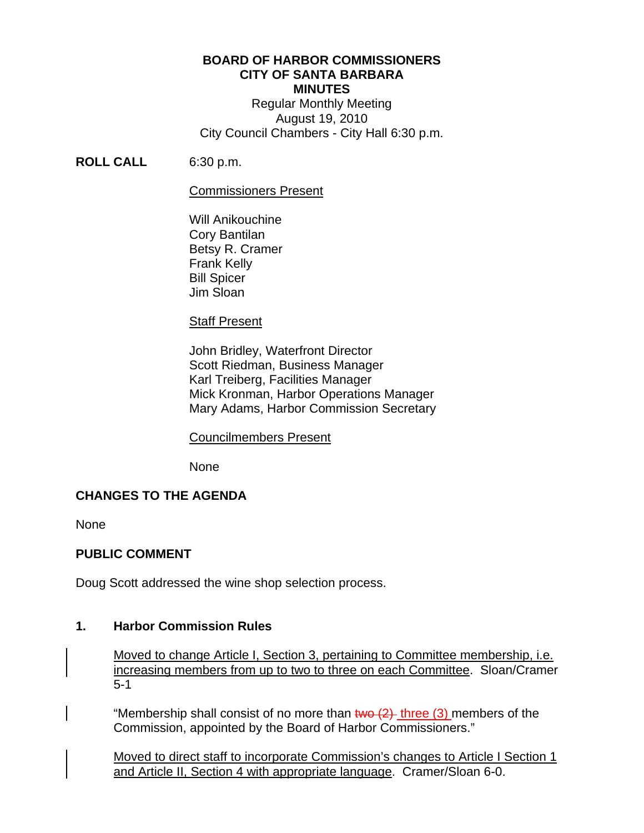# **BOARD OF HARBOR COMMISSIONERS CITY OF SANTA BARBARA MINUTES**

Regular Monthly Meeting August 19, 2010 City Council Chambers - City Hall 6:30 p.m.

**ROLL CALL** 6:30 p.m.

### Commissioners Present

Will Anikouchine Cory Bantilan Betsy R. Cramer Frank Kelly Bill Spicer Jim Sloan

# Staff Present

 John Bridley, Waterfront Director Scott Riedman, Business Manager Karl Treiberg, Facilities Manager Mick Kronman, Harbor Operations Manager Mary Adams, Harbor Commission Secretary

#### Councilmembers Present

None

# **CHANGES TO THE AGENDA**

None

# **PUBLIC COMMENT**

Doug Scott addressed the wine shop selection process.

### **1. Harbor Commission Rules**

Moved to change Article I, Section 3, pertaining to Committee membership, i.e. increasing members from up to two to three on each Committee. Sloan/Cramer 5-1

"Membership shall consist of no more than  $two (2)$  three (3) members of the Commission, appointed by the Board of Harbor Commissioners."

Moved to direct staff to incorporate Commission's changes to Article I Section 1 and Article II, Section 4 with appropriate language. Cramer/Sloan 6-0.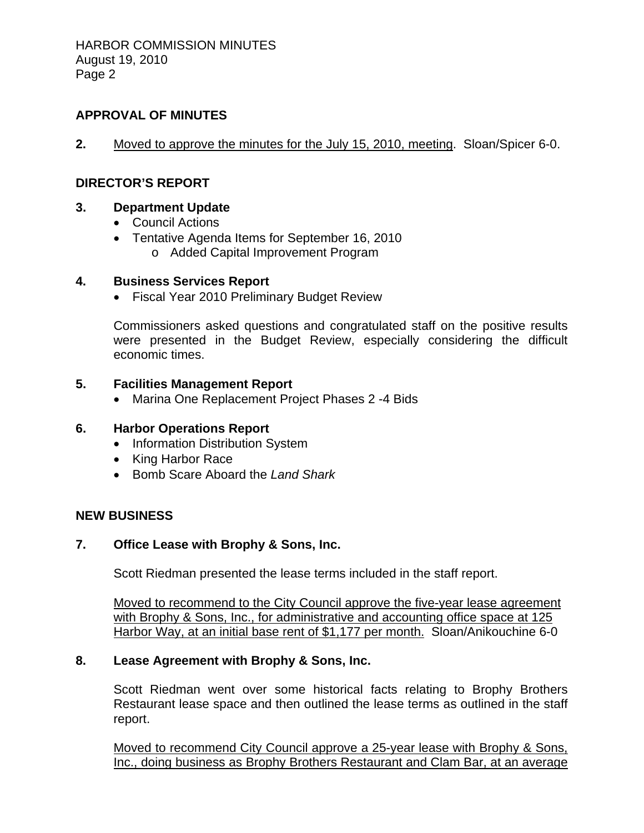# **APPROVAL OF MINUTES**

**2.** Moved to approve the minutes for the July 15, 2010, meeting. Sloan/Spicer 6-0.

### **DIRECTOR'S REPORT**

#### **3. Department Update**

- Council Actions
- Tentative Agenda Items for September 16, 2010
	- o Added Capital Improvement Program

### **4. Business Services Report**

• Fiscal Year 2010 Preliminary Budget Review

Commissioners asked questions and congratulated staff on the positive results were presented in the Budget Review, especially considering the difficult economic times.

### **5. Facilities Management Report**

• Marina One Replacement Project Phases 2 -4 Bids

# **6. Harbor Operations Report**

- Information Distribution System
- King Harbor Race
- Bomb Scare Aboard the *Land Shark*

#### **NEW BUSINESS**

### **7. Office Lease with Brophy & Sons, Inc.**

Scott Riedman presented the lease terms included in the staff report.

Moved to recommend to the City Council approve the five-year lease agreement with Brophy & Sons, Inc., for administrative and accounting office space at 125 Harbor Way, at an initial base rent of \$1,177 per month. Sloan/Anikouchine 6-0

# **8. Lease Agreement with Brophy & Sons, Inc.**

Scott Riedman went over some historical facts relating to Brophy Brothers Restaurant lease space and then outlined the lease terms as outlined in the staff report.

Moved to recommend City Council approve a 25-year lease with Brophy & Sons, Inc., doing business as Brophy Brothers Restaurant and Clam Bar, at an average